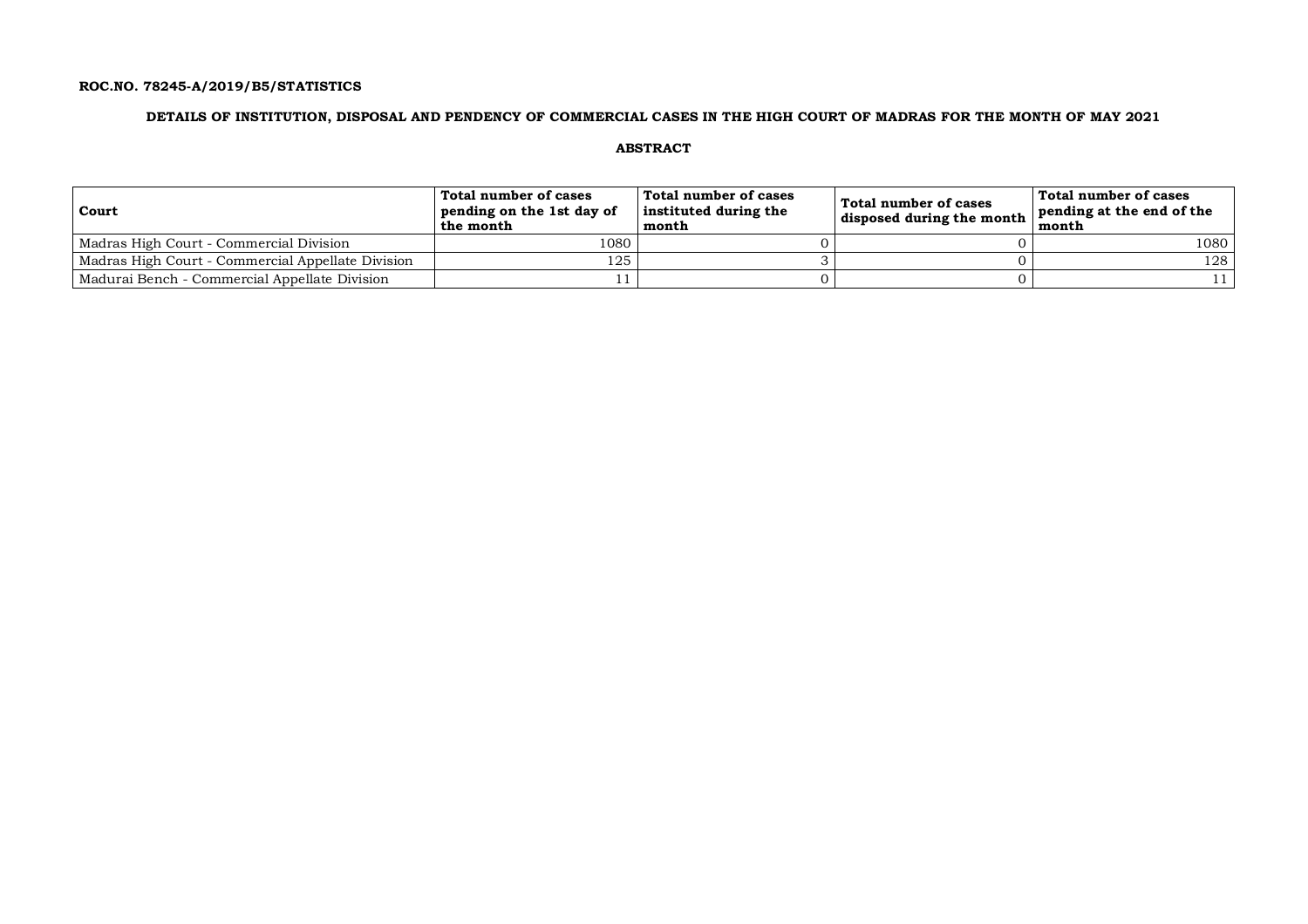## **ROC.NO. 78245-A/2019/B5/STATISTICS**

## **DETAILS OF INSTITUTION, DISPOSAL AND PENDENCY OF COMMERCIAL CASES IN THE HIGH COURT OF MADRAS FOR THE MONTH OF MAY 2021**

**ABSTRACT**

| Court                                             | Total number of cases<br>pending on the 1st day of<br>the month | Total number of cases<br>instituted during the<br>month | Total number of cases<br>disposed during the month | Total number of cases<br>pending at the end of the<br>month |
|---------------------------------------------------|-----------------------------------------------------------------|---------------------------------------------------------|----------------------------------------------------|-------------------------------------------------------------|
| Madras High Court - Commercial Division           | 1080                                                            |                                                         |                                                    | 1080                                                        |
| Madras High Court - Commercial Appellate Division | 125                                                             |                                                         |                                                    | 128                                                         |
| Madurai Bench - Commercial Appellate Division     |                                                                 |                                                         |                                                    |                                                             |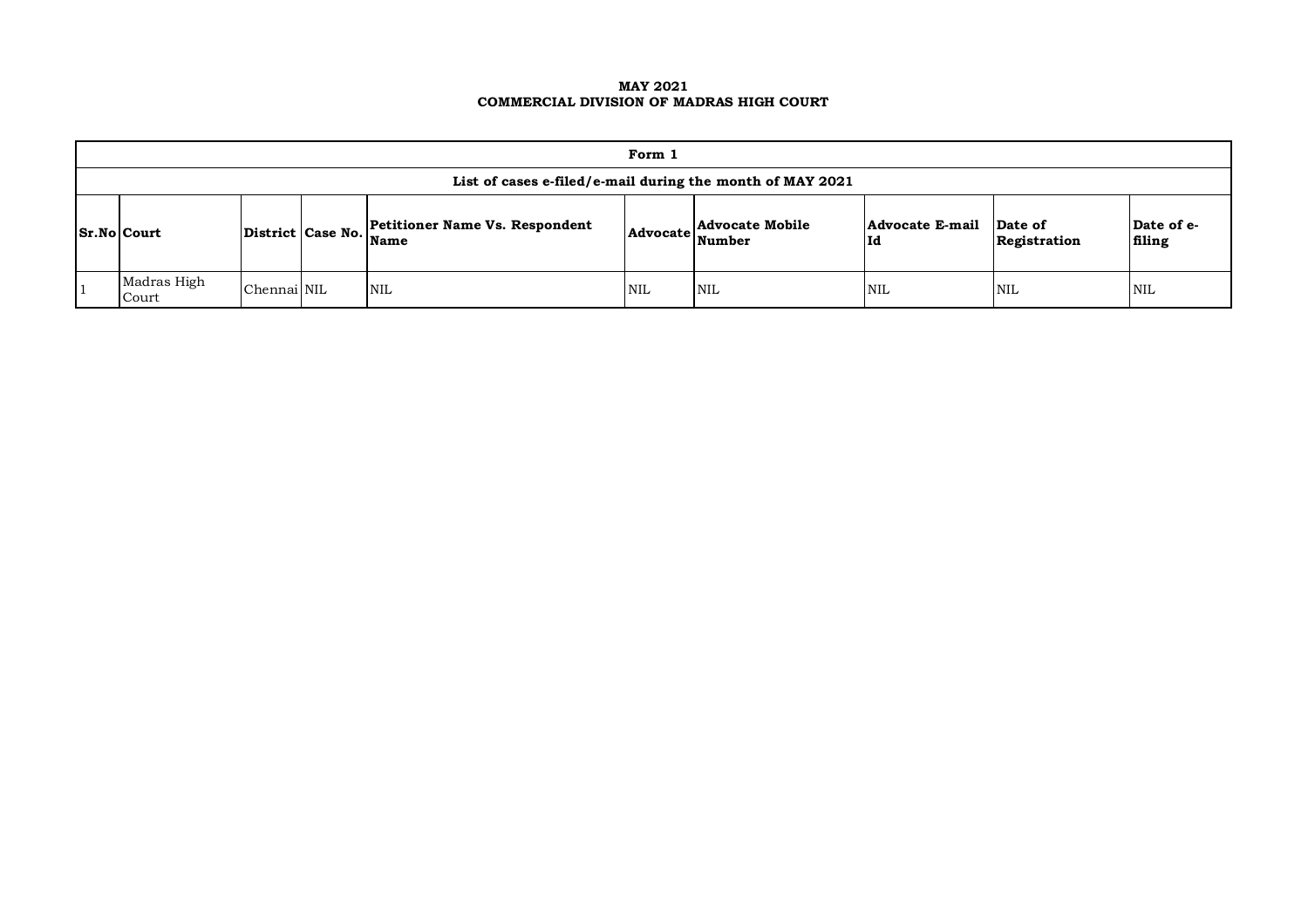## **MAY 2021 COMMERCIAL DIVISION OF MADRAS HIGH COURT**

| Form 1                                                                                                                                                                                                  |             |  |            |            |            |            |            |     |  |  |
|---------------------------------------------------------------------------------------------------------------------------------------------------------------------------------------------------------|-------------|--|------------|------------|------------|------------|------------|-----|--|--|
| List of cases e-filed/e-mail during the month of MAY 2021                                                                                                                                               |             |  |            |            |            |            |            |     |  |  |
| Date of e-<br><b>Petitioner Name Vs. Respondent</b><br>Advocate Mobile<br>Advocate E-mail<br>Date of<br>District Case No. Name<br><b>Sr.No Court</b><br>Advocate Number<br>Id<br>Registration<br>filing |             |  |            |            |            |            |            |     |  |  |
| Madras High<br>Court                                                                                                                                                                                    | Chennai NIL |  | <b>NIL</b> | <b>NIL</b> | <b>NIL</b> | <b>NIL</b> | <b>NIL</b> | NIL |  |  |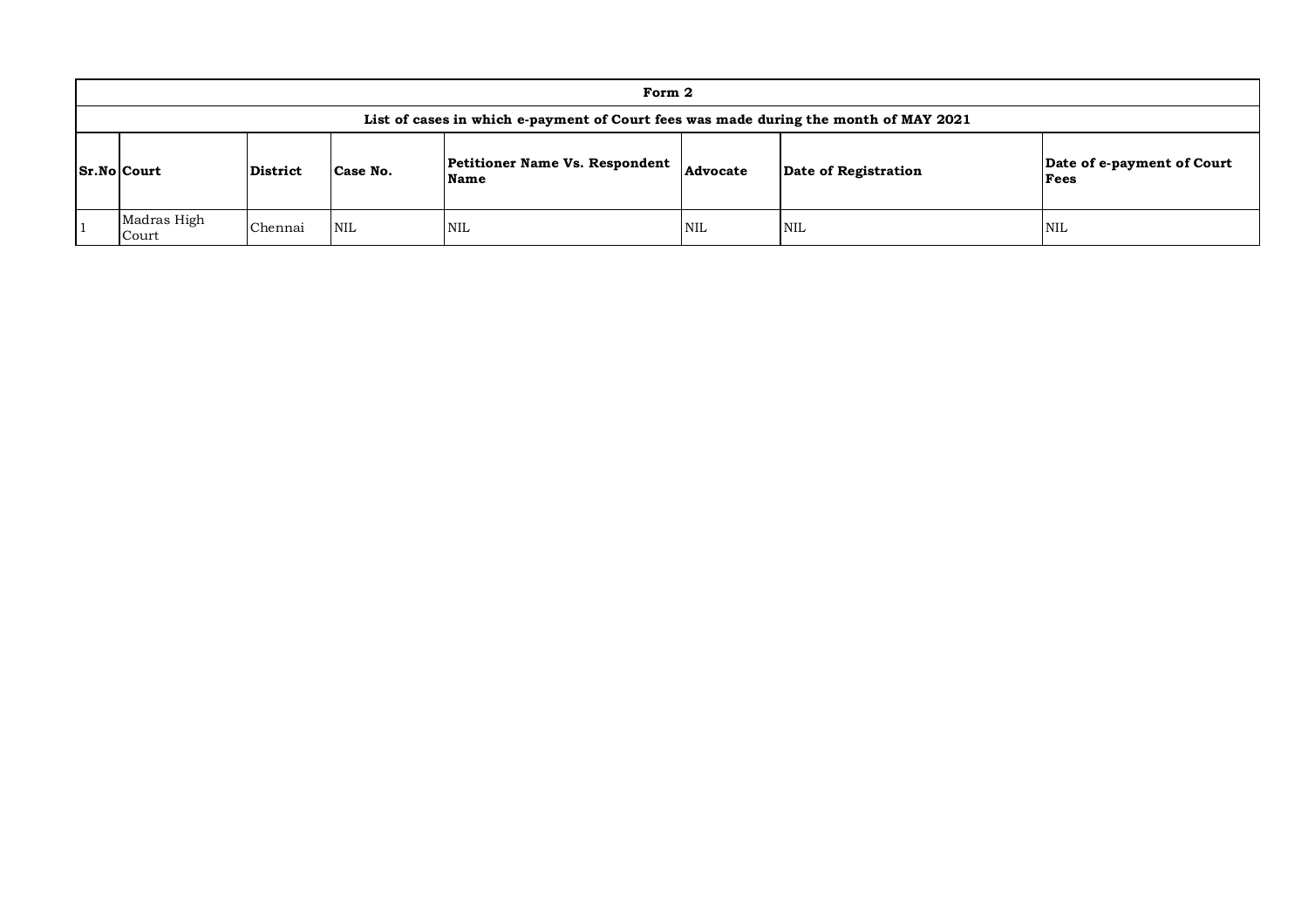| Form 2                                                                                                                                                  |         |            |            |            |            |            |  |  |  |  |
|---------------------------------------------------------------------------------------------------------------------------------------------------------|---------|------------|------------|------------|------------|------------|--|--|--|--|
| List of cases in which e-payment of Court fees was made during the month of MAY 2021                                                                    |         |            |            |            |            |            |  |  |  |  |
| Petitioner Name Vs. Respondent<br>Date of e-payment of Court<br>Advocate<br>Sr.No Court<br>Case No.<br>District<br>Date of Registration<br>Fees<br>Name |         |            |            |            |            |            |  |  |  |  |
| Madras High<br>Court                                                                                                                                    | Chennai | <b>NIL</b> | <b>NIL</b> | <b>NIL</b> | <b>NIL</b> | <b>NIL</b> |  |  |  |  |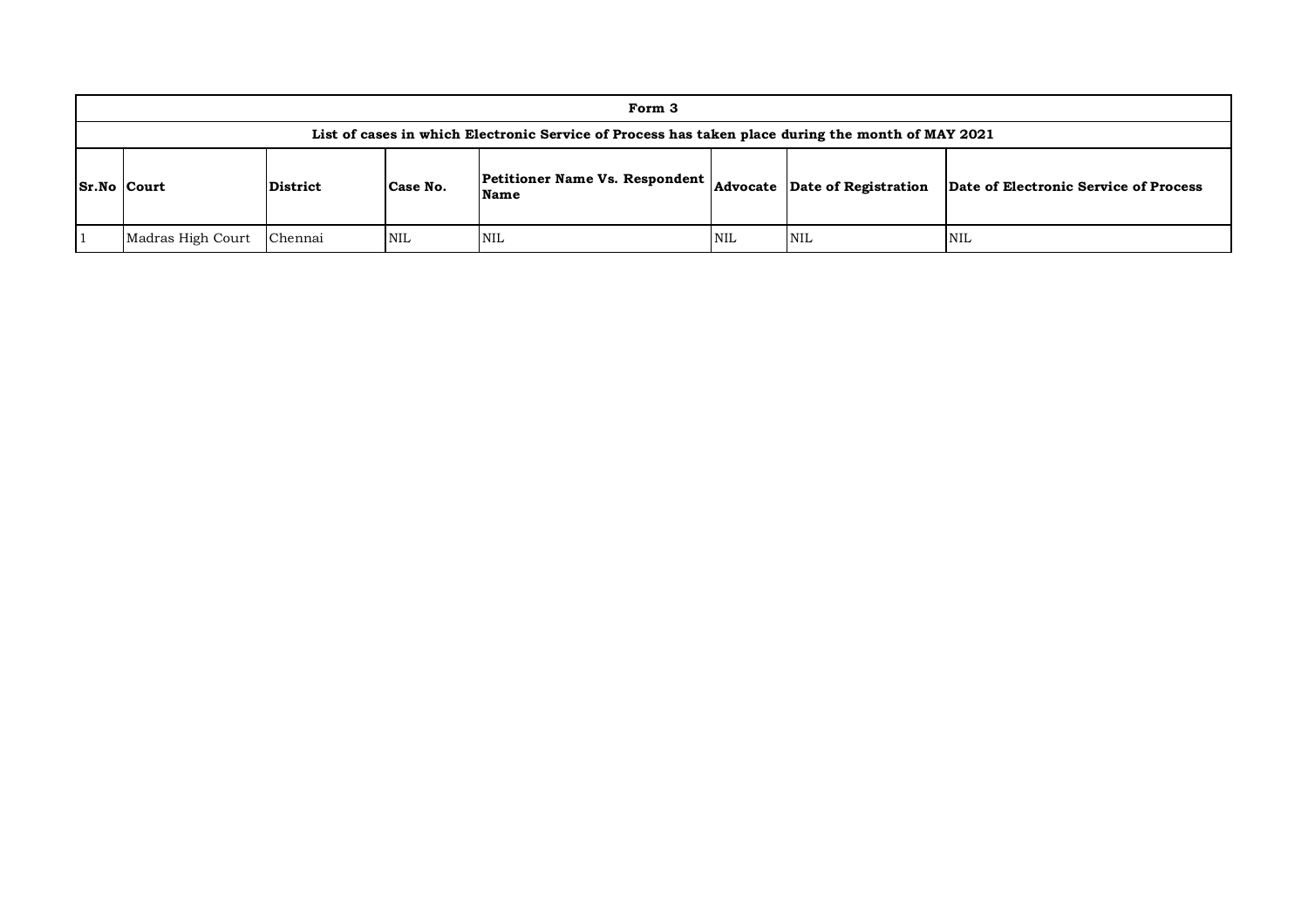| Form 3                                                                                                                                                             |         |     |     |     |            |     |  |  |  |
|--------------------------------------------------------------------------------------------------------------------------------------------------------------------|---------|-----|-----|-----|------------|-----|--|--|--|
| List of cases in which Electronic Service of Process has taken place during the month of MAY 2021                                                                  |         |     |     |     |            |     |  |  |  |
| Petitioner Name Vs. Respondent<br>Advocate Date of Registration<br>Date of Electronic Service of Process<br>Case No.<br>$ Sr.No $ Court<br><b>District</b><br>Name |         |     |     |     |            |     |  |  |  |
| Madras High Court                                                                                                                                                  | Chennai | NIL | NIL | NIL | <b>NIL</b> | NIL |  |  |  |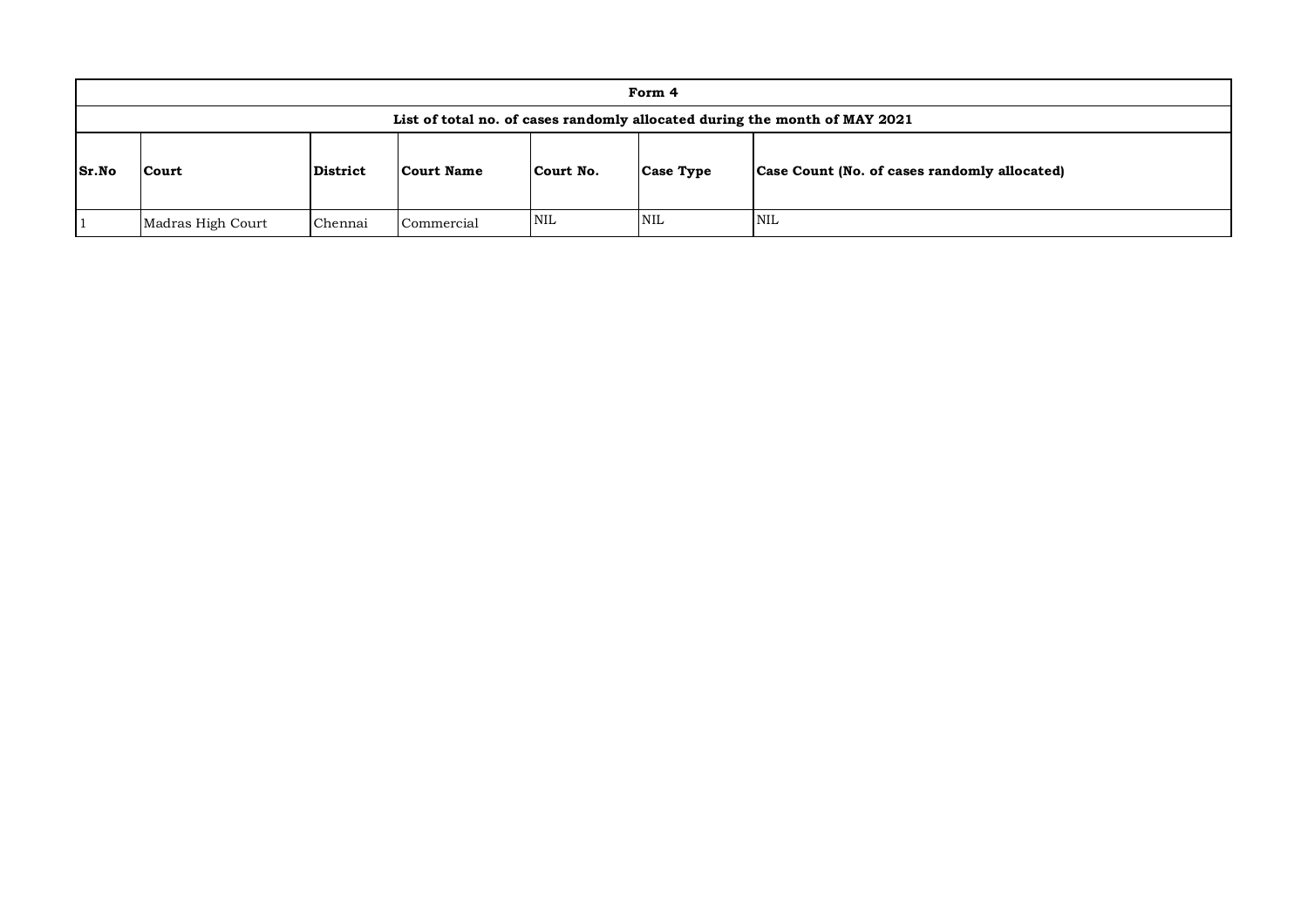|       | Form 4                                                                                                                         |  |  |  |  |  |  |  |  |  |
|-------|--------------------------------------------------------------------------------------------------------------------------------|--|--|--|--|--|--|--|--|--|
|       | List of total no. of cases randomly allocated during the month of MAY 2021                                                     |  |  |  |  |  |  |  |  |  |
| Sr.No | <b>District</b><br>Case Count (No. of cases randomly allocated)<br>Court No.<br><b>Court Name</b><br><b>Case Type</b><br>Court |  |  |  |  |  |  |  |  |  |
|       | <b>NIL</b><br><b>NIL</b><br><b>NIL</b><br>Commercial<br>Chennai<br>Madras High Court                                           |  |  |  |  |  |  |  |  |  |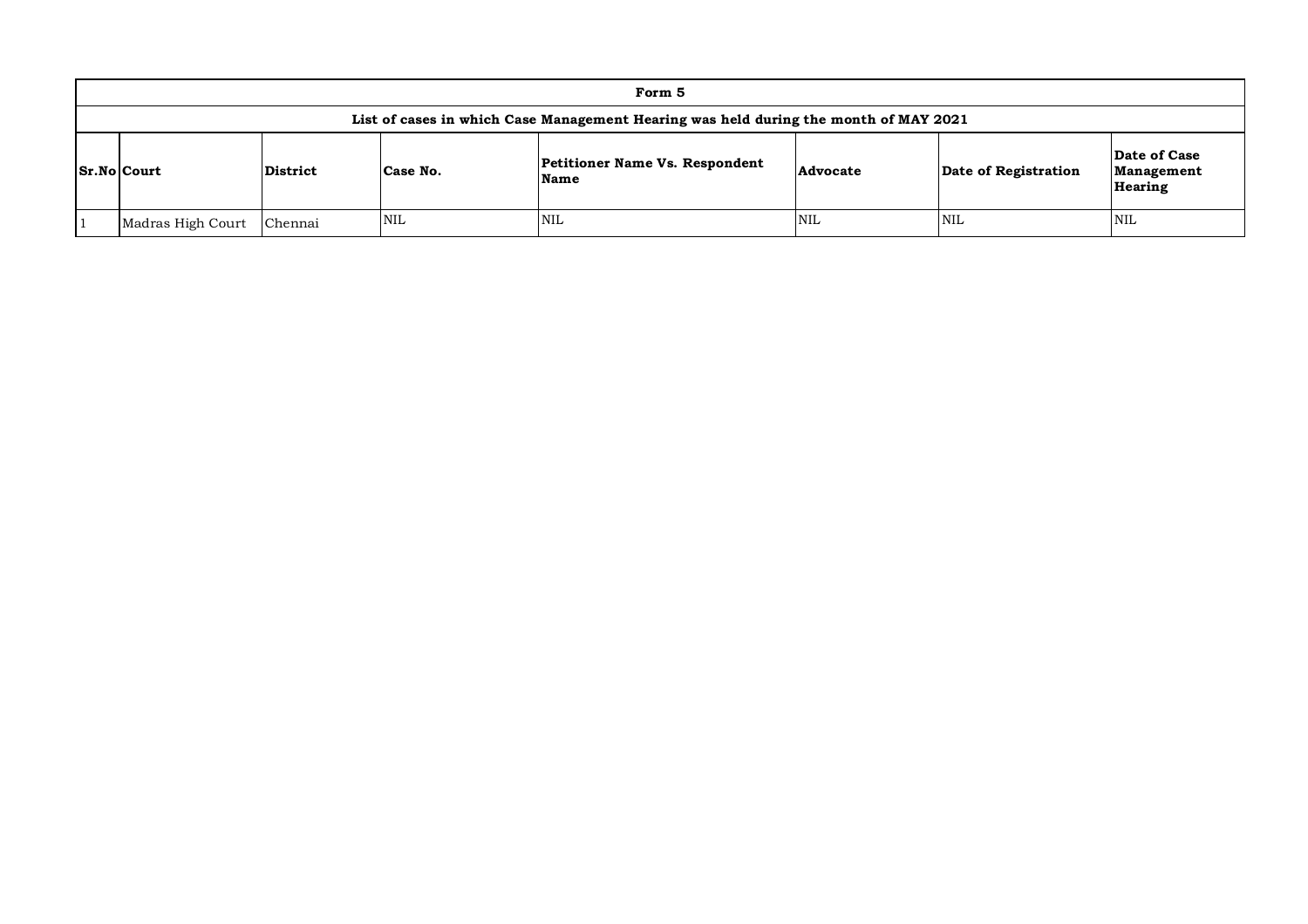| Form 5                                                                                                                                                                                 |         |            |            |            |            |            |  |  |  |
|----------------------------------------------------------------------------------------------------------------------------------------------------------------------------------------|---------|------------|------------|------------|------------|------------|--|--|--|
| List of cases in which Case Management Hearing was held during the month of MAY 2021                                                                                                   |         |            |            |            |            |            |  |  |  |
| Date of Case<br><b>Petitioner Name Vs. Respondent</b><br><b>Sr.No Court</b><br>Date of Registration<br><b>District</b><br>Advocate<br>Case No.<br>Management<br>Name<br><b>Hearing</b> |         |            |            |            |            |            |  |  |  |
| Madras High Court                                                                                                                                                                      | Chennai | <b>NIL</b> | <b>NIL</b> | <b>NIL</b> | <b>NIL</b> | <b>NIL</b> |  |  |  |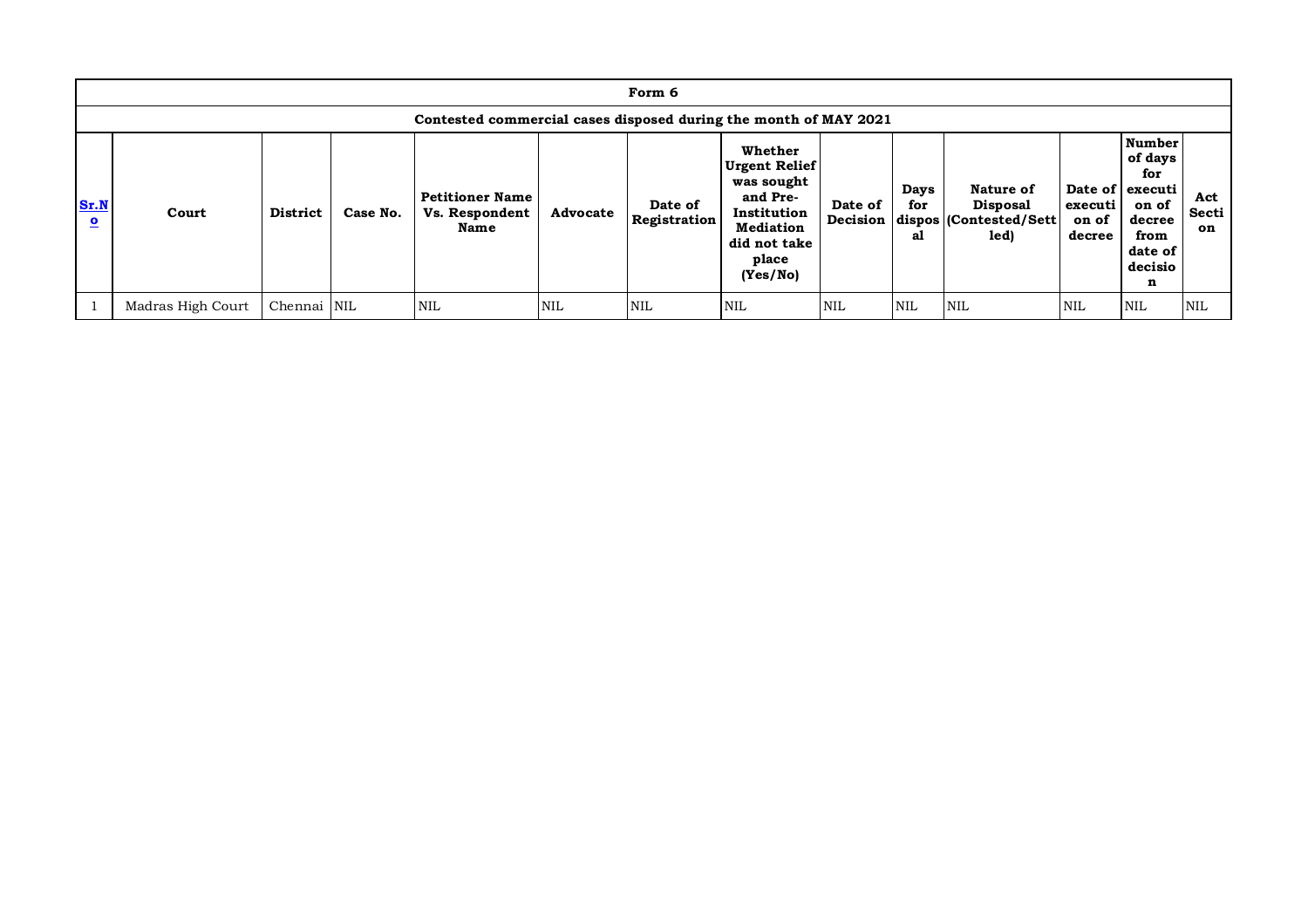|                                 | Form 6                                                           |             |          |                                                  |            |                                |                                                                                                                                   |                     |                          |                                                                 |                            |                                                                                                          |                    |
|---------------------------------|------------------------------------------------------------------|-------------|----------|--------------------------------------------------|------------|--------------------------------|-----------------------------------------------------------------------------------------------------------------------------------|---------------------|--------------------------|-----------------------------------------------------------------|----------------------------|----------------------------------------------------------------------------------------------------------|--------------------|
|                                 | Contested commercial cases disposed during the month of MAY 2021 |             |          |                                                  |            |                                |                                                                                                                                   |                     |                          |                                                                 |                            |                                                                                                          |                    |
| Sr.N<br>$\overline{\mathbf{c}}$ | Court                                                            | District    | Case No. | <b>Petitioner Name</b><br>Vs. Respondent<br>Name | Advocate   | Date of<br><b>Registration</b> | Whether<br><b>Urgent Relief</b><br>was sought<br>and Pre-<br>Institution<br><b>Mediation</b><br>did not take<br>place<br>(Yes/No) | Date of<br>Decision | <b>Days</b><br>for<br>al | Nature of<br><b>Disposal</b><br>dispos (Contested/Sett)<br>led) | executi<br>on of<br>decree | <b>Number</b><br>of days<br>for<br>Date of executi<br>on of<br>decree<br>from<br>date of<br>decisio<br>n | Act<br>Secti<br>on |
|                                 | Madras High Court                                                | Chennai NIL |          | <b>NIL</b>                                       | <b>NIL</b> | <b>NIL</b>                     | <b>NIL</b>                                                                                                                        | <b>NIL</b>          | <b>NIL</b>               | <b>NIL</b>                                                      | <b>NIL</b>                 | <b>NIL</b>                                                                                               | <b>NIL</b>         |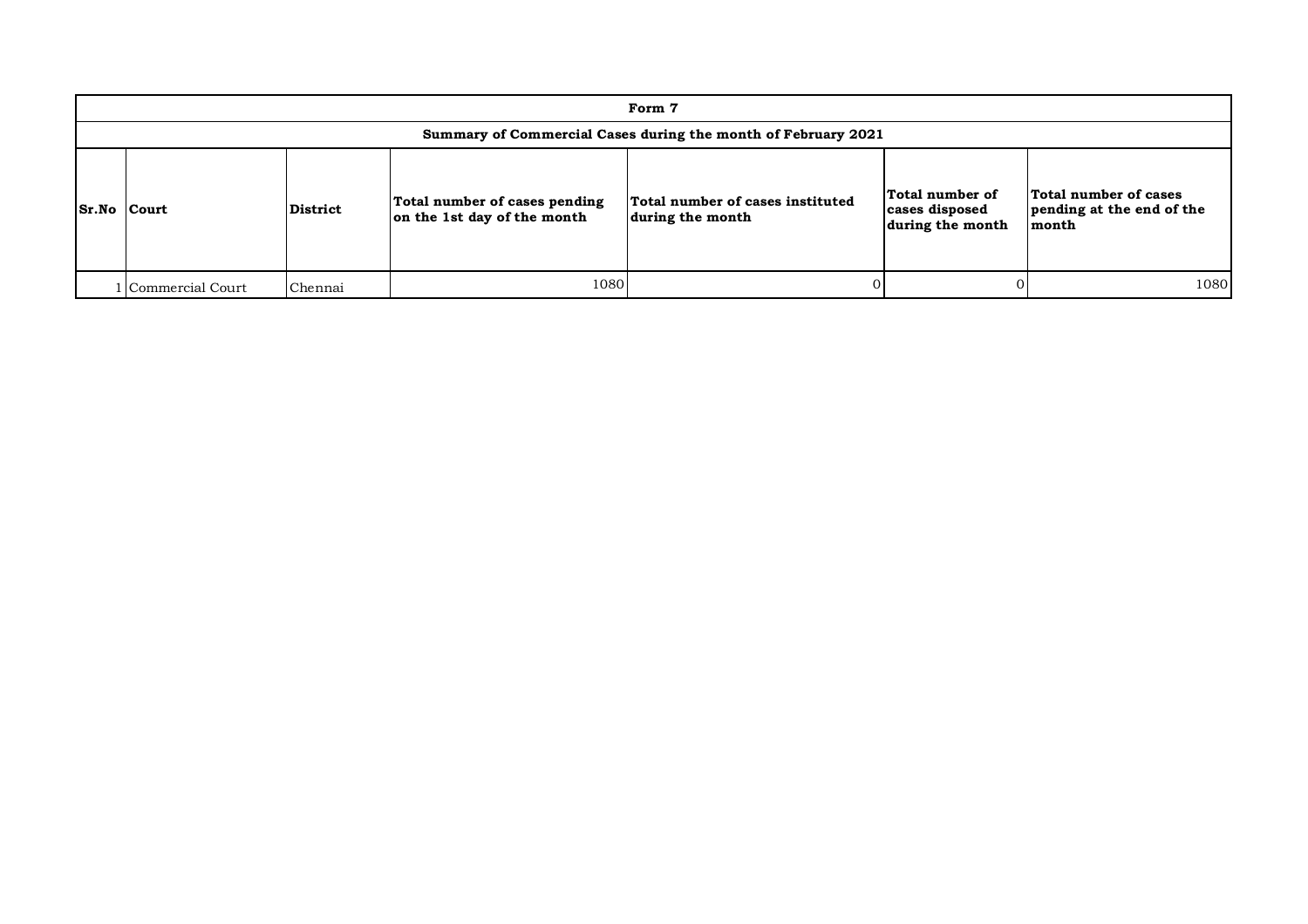|                    | Form 7                                                        |          |                                                              |                                                      |                                                       |                                                             |  |  |  |  |
|--------------------|---------------------------------------------------------------|----------|--------------------------------------------------------------|------------------------------------------------------|-------------------------------------------------------|-------------------------------------------------------------|--|--|--|--|
|                    | Summary of Commercial Cases during the month of February 2021 |          |                                                              |                                                      |                                                       |                                                             |  |  |  |  |
| <b>Sr.No Court</b> |                                                               | District | Total number of cases pending<br>on the 1st day of the month | Total number of cases instituted<br>during the month | Total number of<br>cases disposed<br>during the month | Total number of cases<br>pending at the end of the<br>month |  |  |  |  |
|                    | Commercial Court                                              | Chennai  | 1080                                                         |                                                      |                                                       | 1080                                                        |  |  |  |  |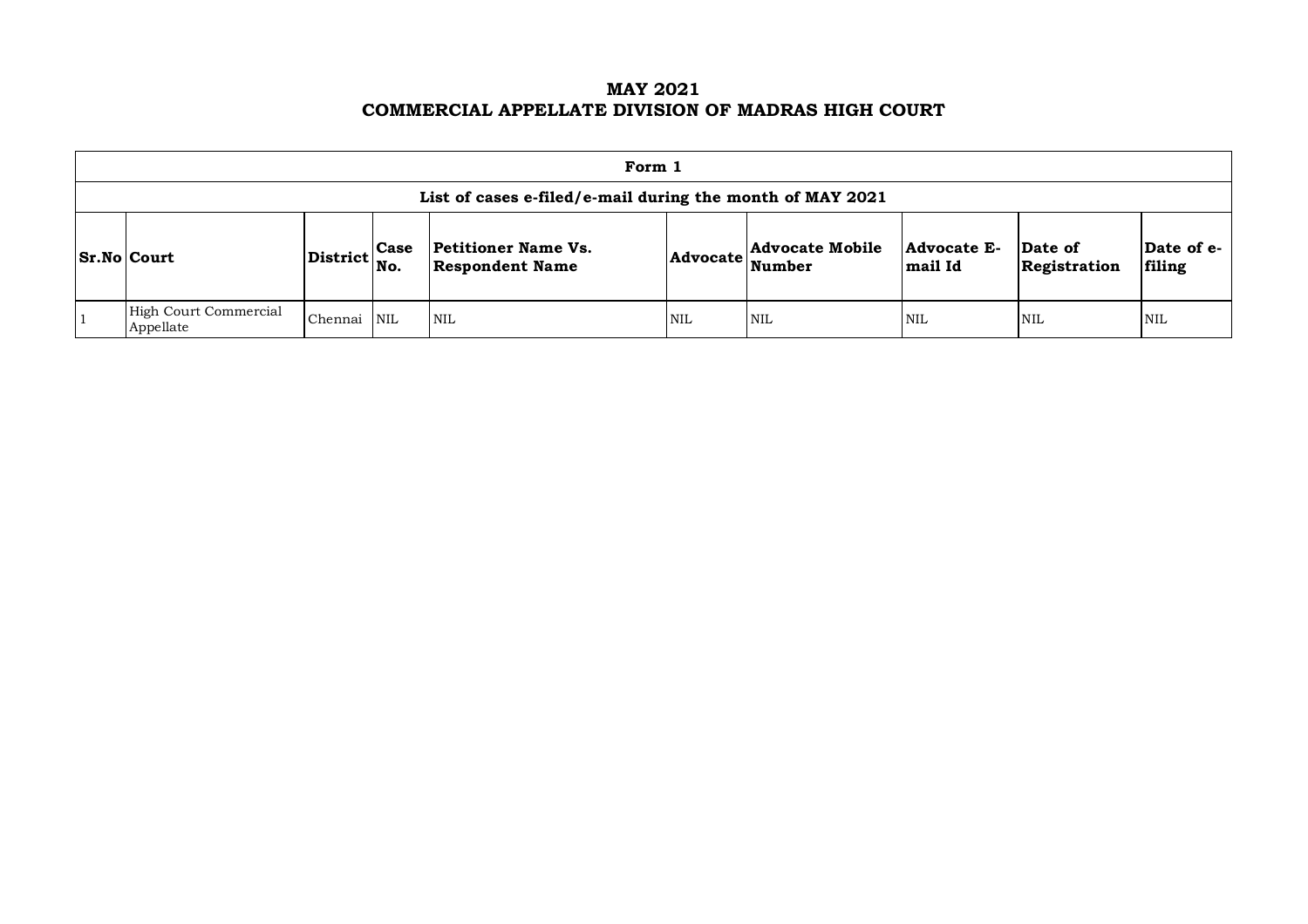**MAY 2021 COMMERCIAL APPELLATE DIVISION OF MADRAS HIGH COURT**

| Form 1                                                                                                                                                                                                                                                                        |         |            |      |     |            |            |            |            |  |  |
|-------------------------------------------------------------------------------------------------------------------------------------------------------------------------------------------------------------------------------------------------------------------------------|---------|------------|------|-----|------------|------------|------------|------------|--|--|
| List of cases e-filed/e-mail during the month of MAY 2021                                                                                                                                                                                                                     |         |            |      |     |            |            |            |            |  |  |
| <b>Advocate Mobile</b><br><b>Petitioner Name Vs.</b><br>Date of e-<br><b>Advocate E-</b><br>Date of<br><b>Case</b><br>$ {\rm District} _{\rm No.}$<br>$\vert$ Sr.No $\vert$ Court<br><b>Advocate</b><br>Number<br>mail Id<br>filing<br><b>Respondent Name</b><br>Registration |         |            |      |     |            |            |            |            |  |  |
| High Court Commercial<br>Appellate                                                                                                                                                                                                                                            | Chennai | <b>NIL</b> | 'NIL | NIL | <b>NIL</b> | <b>NIL</b> | <b>NIL</b> | <b>NIL</b> |  |  |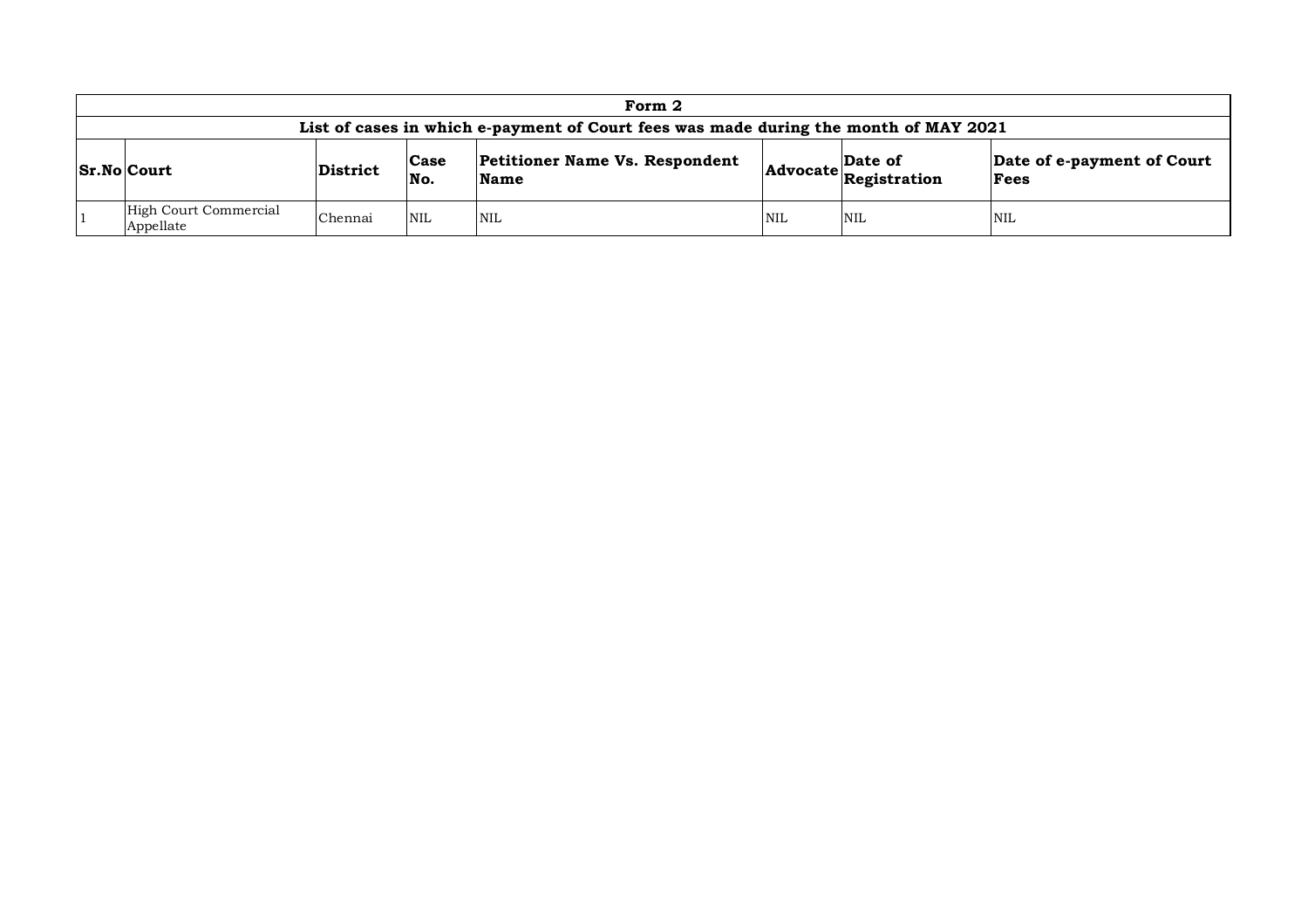| Form 2                                                                                                                                                                                                         |         |            |            |            |            |            |  |  |  |
|----------------------------------------------------------------------------------------------------------------------------------------------------------------------------------------------------------------|---------|------------|------------|------------|------------|------------|--|--|--|
| List of cases in which e-payment of Court fees was made during the month of MAY 2021                                                                                                                           |         |            |            |            |            |            |  |  |  |
| <b>Petitioner Name Vs. Respondent</b><br>Date of e-payment of Court<br>Date of<br>Case<br>$ Sr.No $ Court<br>District<br>$ {\bf Advocate} \overline{\bf \textbf{Registration}} $<br>No.<br><b>Name</b><br>Fees |         |            |            |            |            |            |  |  |  |
| High Court Commercial<br>Appellate                                                                                                                                                                             | Chennai | <b>NIL</b> | <b>NIL</b> | <b>NIL</b> | <b>NIL</b> | <b>NIL</b> |  |  |  |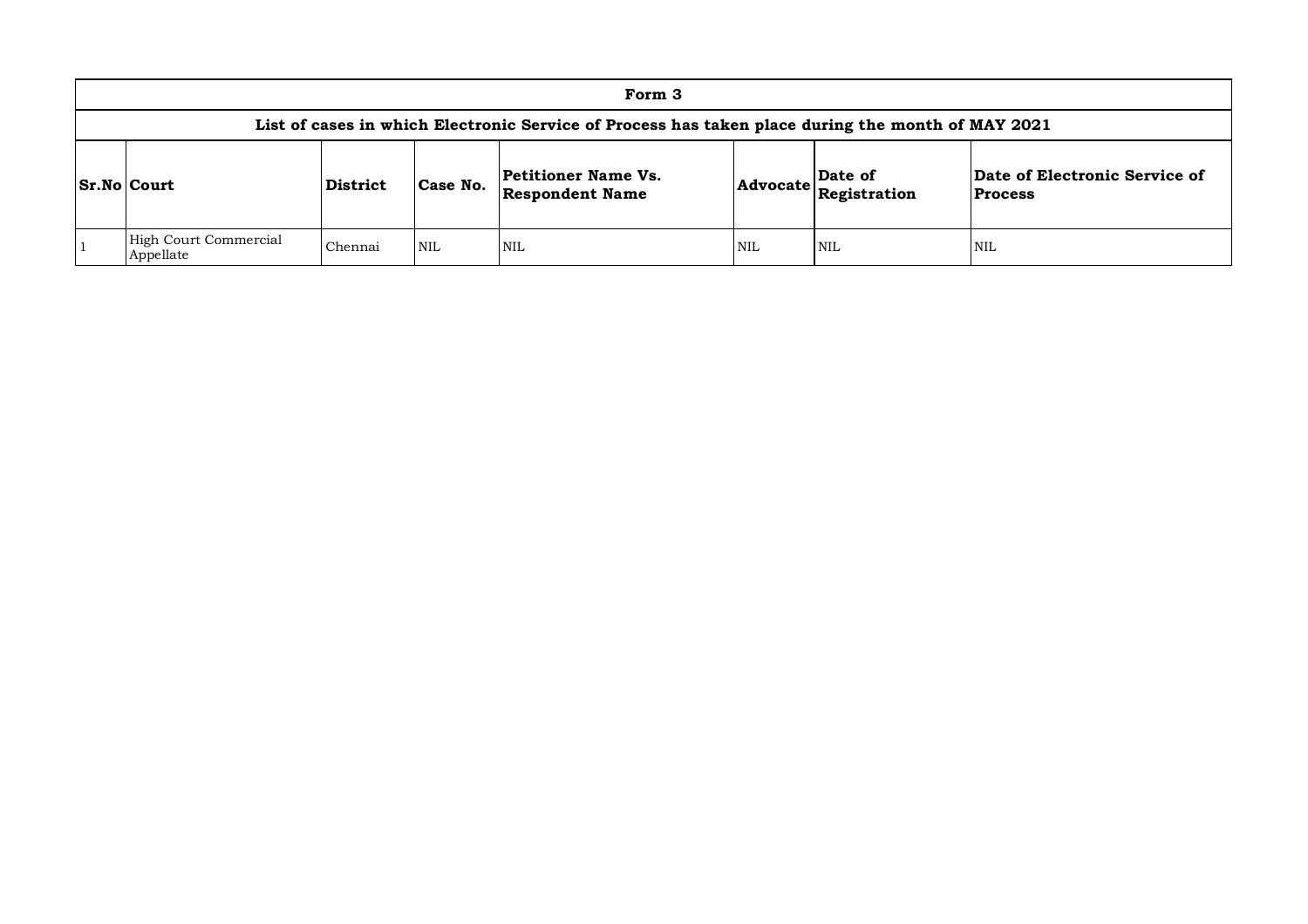| Form 3                                                                                                                                                                                                        |         |            |      |            |     |            |  |  |  |  |
|---------------------------------------------------------------------------------------------------------------------------------------------------------------------------------------------------------------|---------|------------|------|------------|-----|------------|--|--|--|--|
| List of cases in which Electronic Service of Process has taken place during the month of MAY 2021                                                                                                             |         |            |      |            |     |            |  |  |  |  |
| Date of Electronic Service of<br>Petitioner Name Vs.<br>Date of<br>Case No.<br><b>Sr.No Court</b><br>District<br>$ {\bf Advocate} \overline{\bf Registribution} $<br><b>Respondent Name</b><br><b>Process</b> |         |            |      |            |     |            |  |  |  |  |
| High Court Commercial<br>Appellate                                                                                                                                                                            | Chennai | <b>NIL</b> | NIL. | <b>NIL</b> | NIL | <b>NIL</b> |  |  |  |  |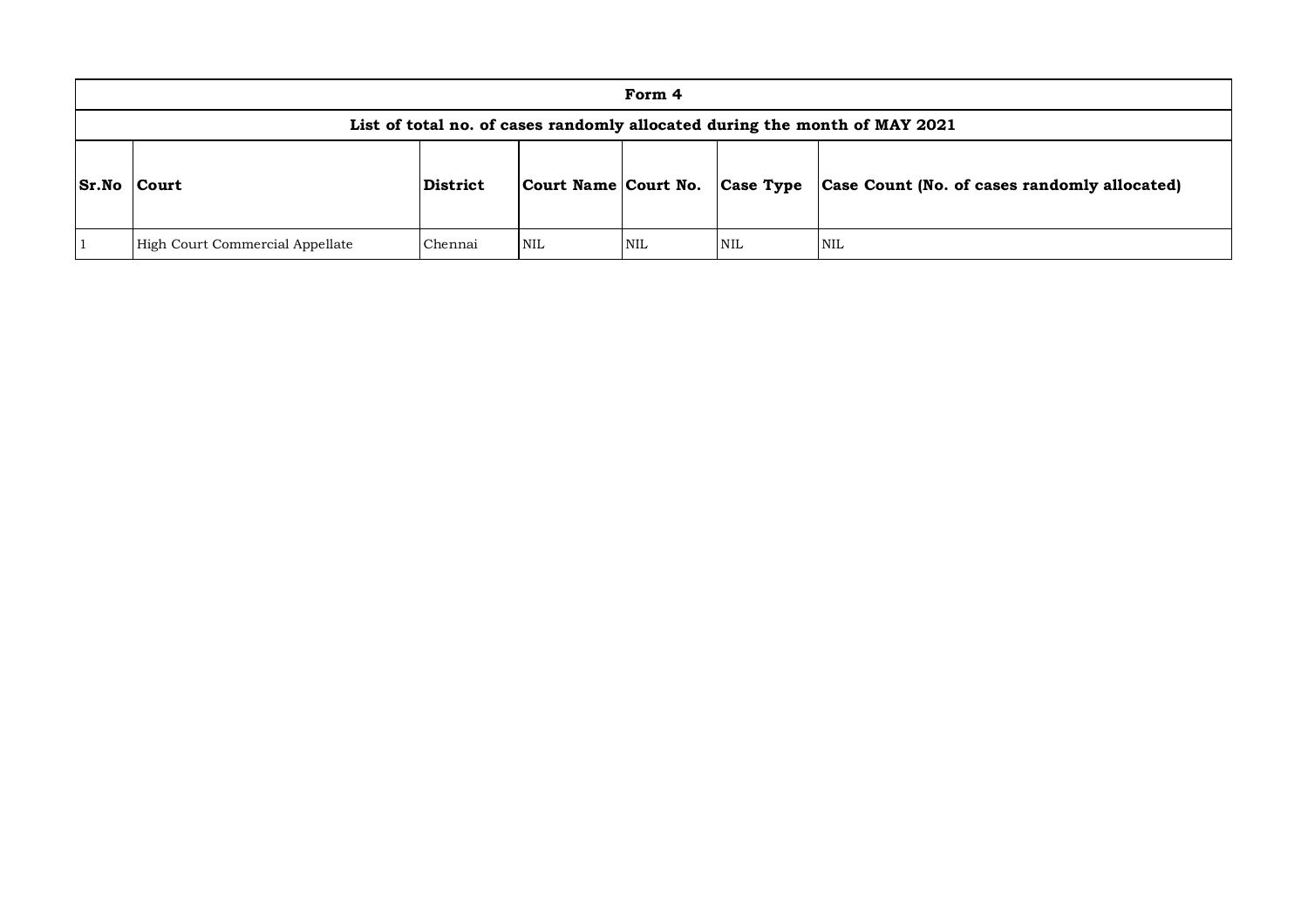|              | Form 4                                                                                                  |         |            |            |            |            |  |  |  |
|--------------|---------------------------------------------------------------------------------------------------------|---------|------------|------------|------------|------------|--|--|--|
|              | List of total no. of cases randomly allocated during the month of MAY 2021                              |         |            |            |            |            |  |  |  |
| <b>Sr.No</b> | Case Type<br>Case Count (No. of cases randomly allocated)<br>District<br>Court Name Court No.<br> Court |         |            |            |            |            |  |  |  |
|              | High Court Commercial Appellate                                                                         | Chennai | <b>NIL</b> | <b>NIL</b> | <b>NIL</b> | <b>NIL</b> |  |  |  |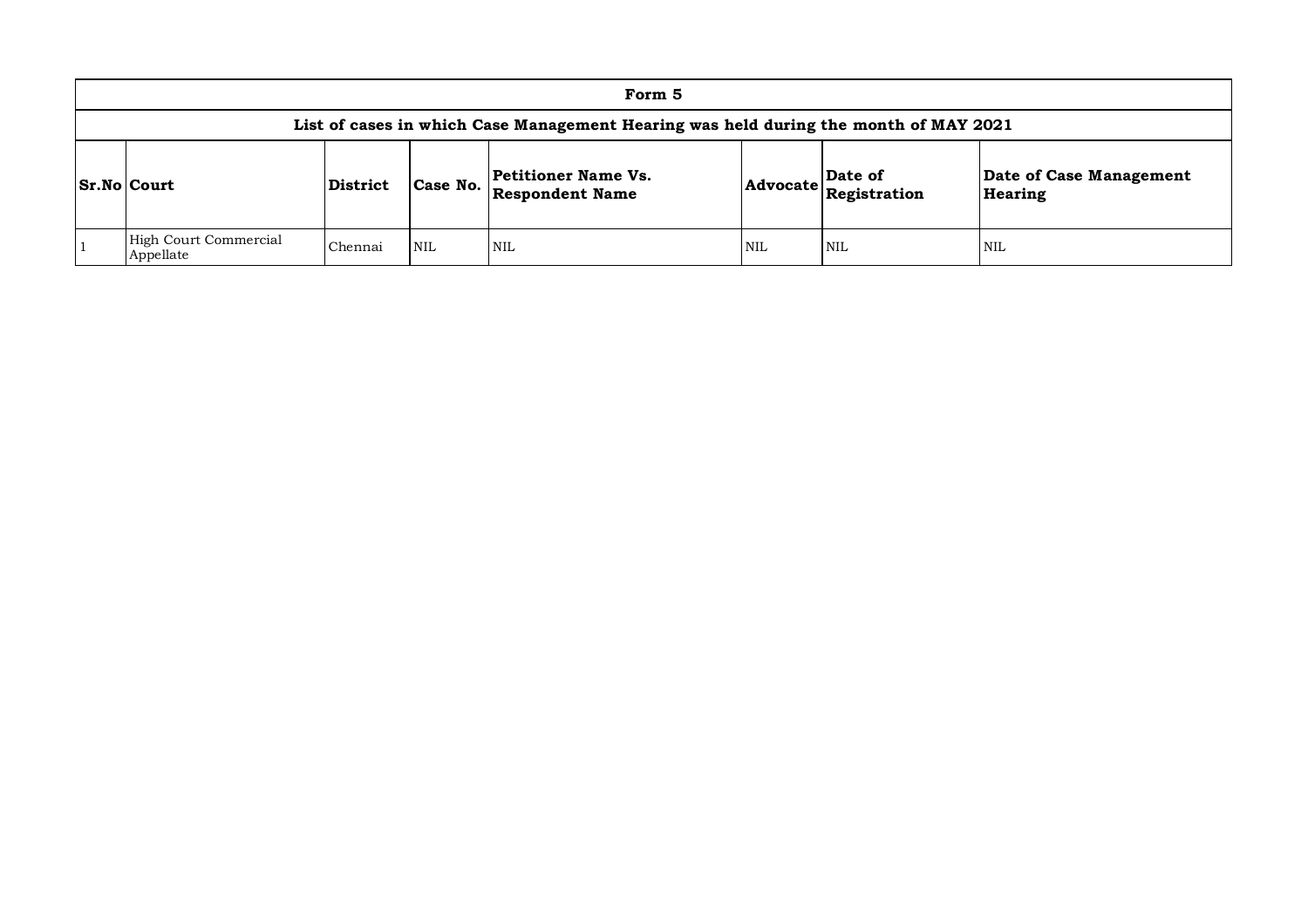| Form 5                                                                               |          |            |                                                      |                                                        |            |                                    |  |  |  |  |
|--------------------------------------------------------------------------------------|----------|------------|------------------------------------------------------|--------------------------------------------------------|------------|------------------------------------|--|--|--|--|
| List of cases in which Case Management Hearing was held during the month of MAY 2021 |          |            |                                                      |                                                        |            |                                    |  |  |  |  |
| Sr.No Court                                                                          | District | Case No.   | <b>Petitioner Name Vs.</b><br><b>Respondent Name</b> | Date of<br>$ {\bf Advocate} \tilde{\bf Registration} $ |            | Date of Case Management<br>Hearing |  |  |  |  |
| High Court Commercial<br>Appellate                                                   | Chennai  | <b>NIL</b> | <b>NIL</b>                                           | <b>NIL</b>                                             | <b>NIL</b> | <b>NIL</b>                         |  |  |  |  |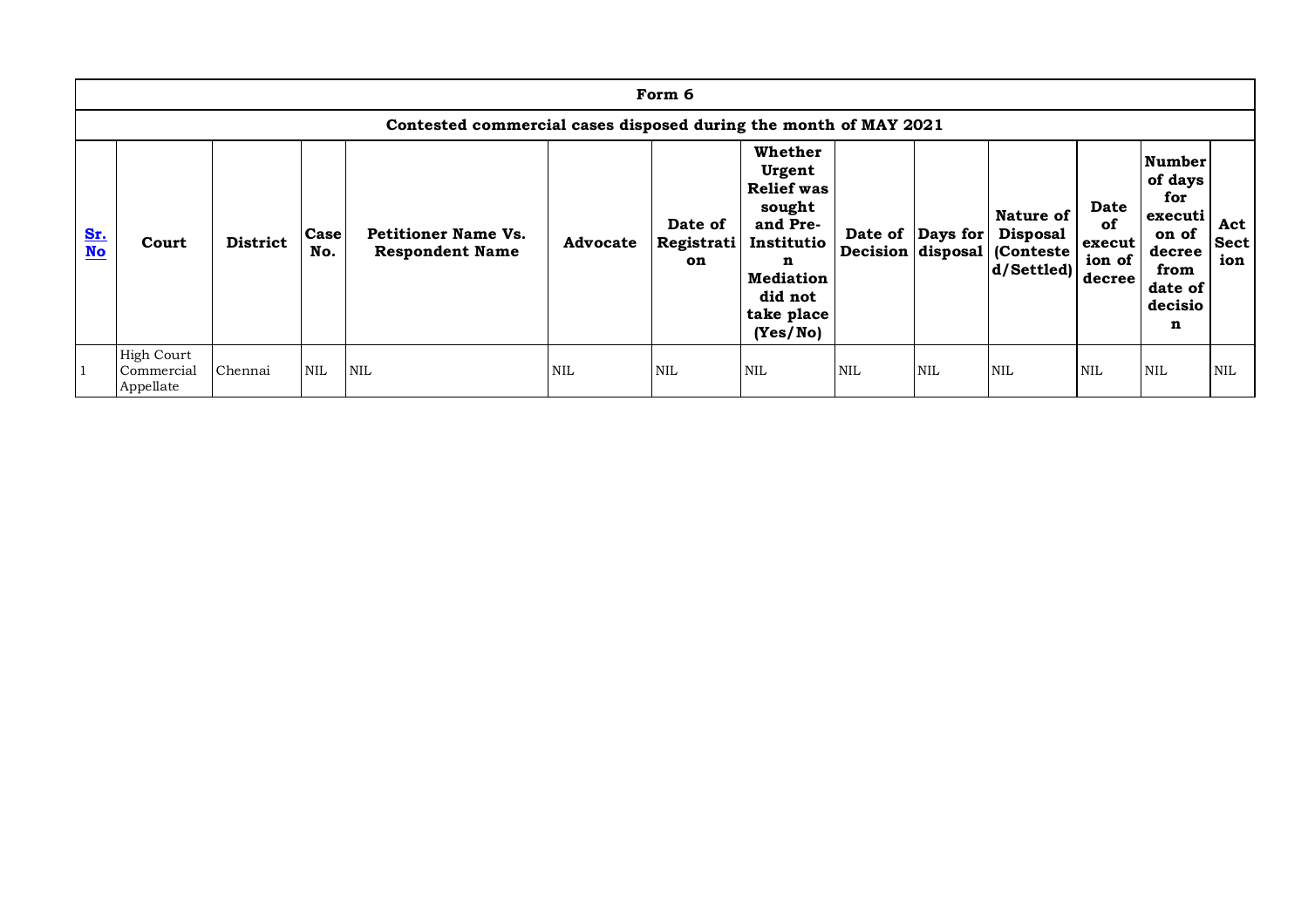|           | Form 6                                                           |                 |             |                                                      |                 |                             |                                                                                                                                          |                   |                  |                                                        |                                          |                                                                                           |                           |
|-----------|------------------------------------------------------------------|-----------------|-------------|------------------------------------------------------|-----------------|-----------------------------|------------------------------------------------------------------------------------------------------------------------------------------|-------------------|------------------|--------------------------------------------------------|------------------------------------------|-------------------------------------------------------------------------------------------|---------------------------|
|           | Contested commercial cases disposed during the month of MAY 2021 |                 |             |                                                      |                 |                             |                                                                                                                                          |                   |                  |                                                        |                                          |                                                                                           |                           |
| Sr.<br>No | Court                                                            | <b>District</b> | Case<br>No. | <b>Petitioner Name Vs.</b><br><b>Respondent Name</b> | <b>Advocate</b> | Date of<br>Registrati<br>on | Whether<br>Urgent<br><b>Relief</b> was<br>sought<br>and Pre-<br>Institutio<br>n<br><b>Mediation</b><br>did not<br>take place<br>(Yes/No) | Decision disposal | Date of Days for | Nature of<br><b>Disposal</b><br>Conteste<br>d/Settled) | Date<br>of<br>execut<br>ion of<br>decree | Number<br>of days<br>for<br>executi<br>on of<br>decree<br>from<br>date of<br>decisio<br>n | Act<br><b>Sect</b><br>ion |
|           | <b>High Court</b><br>Commercial<br>Appellate                     | Chennai         | <b>NIL</b>  | <b>NIL</b>                                           | <b>NIL</b>      | <b>NIL</b>                  | <b>NIL</b>                                                                                                                               | <b>NIL</b>        | <b>NIL</b>       | <b>NIL</b>                                             | <b>NIL</b>                               | <b>NIL</b>                                                                                | <b>NIL</b>                |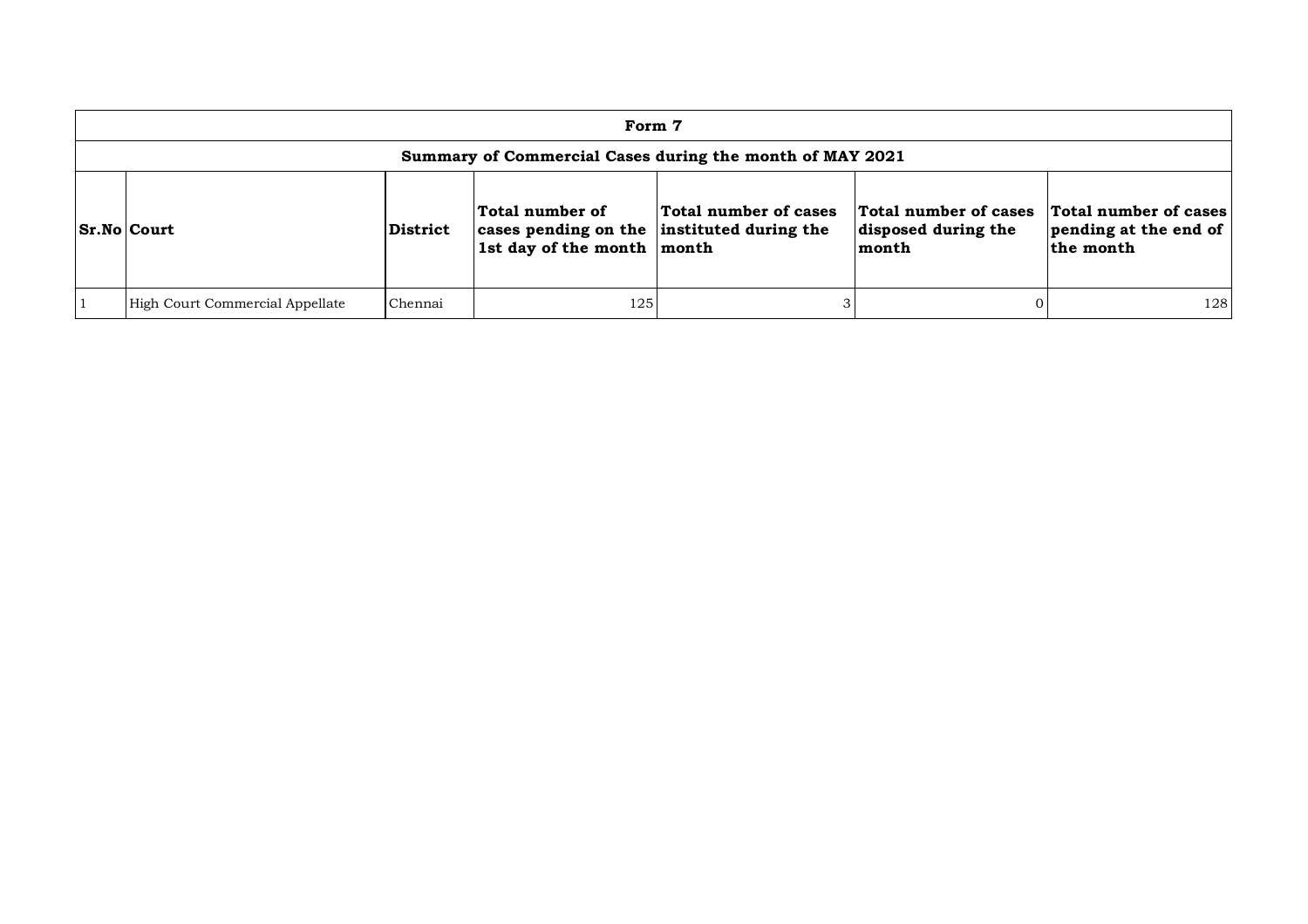| Form 7                                                   |                 |                                                                                             |                       |                                                       |                                                                    |  |  |  |  |  |
|----------------------------------------------------------|-----------------|---------------------------------------------------------------------------------------------|-----------------------|-------------------------------------------------------|--------------------------------------------------------------------|--|--|--|--|--|
| Summary of Commercial Cases during the month of MAY 2021 |                 |                                                                                             |                       |                                                       |                                                                    |  |  |  |  |  |
| Sr.No Court                                              | <b>District</b> | Total number of<br>cases pending on the instituted during the<br>1st day of the month month | Total number of cases | Total number of cases<br>disposed during the<br>month | <b>Total number of cases</b><br>pending at the end of<br>the month |  |  |  |  |  |
| High Court Commercial Appellate                          | Chennai         | 125                                                                                         |                       |                                                       | 128                                                                |  |  |  |  |  |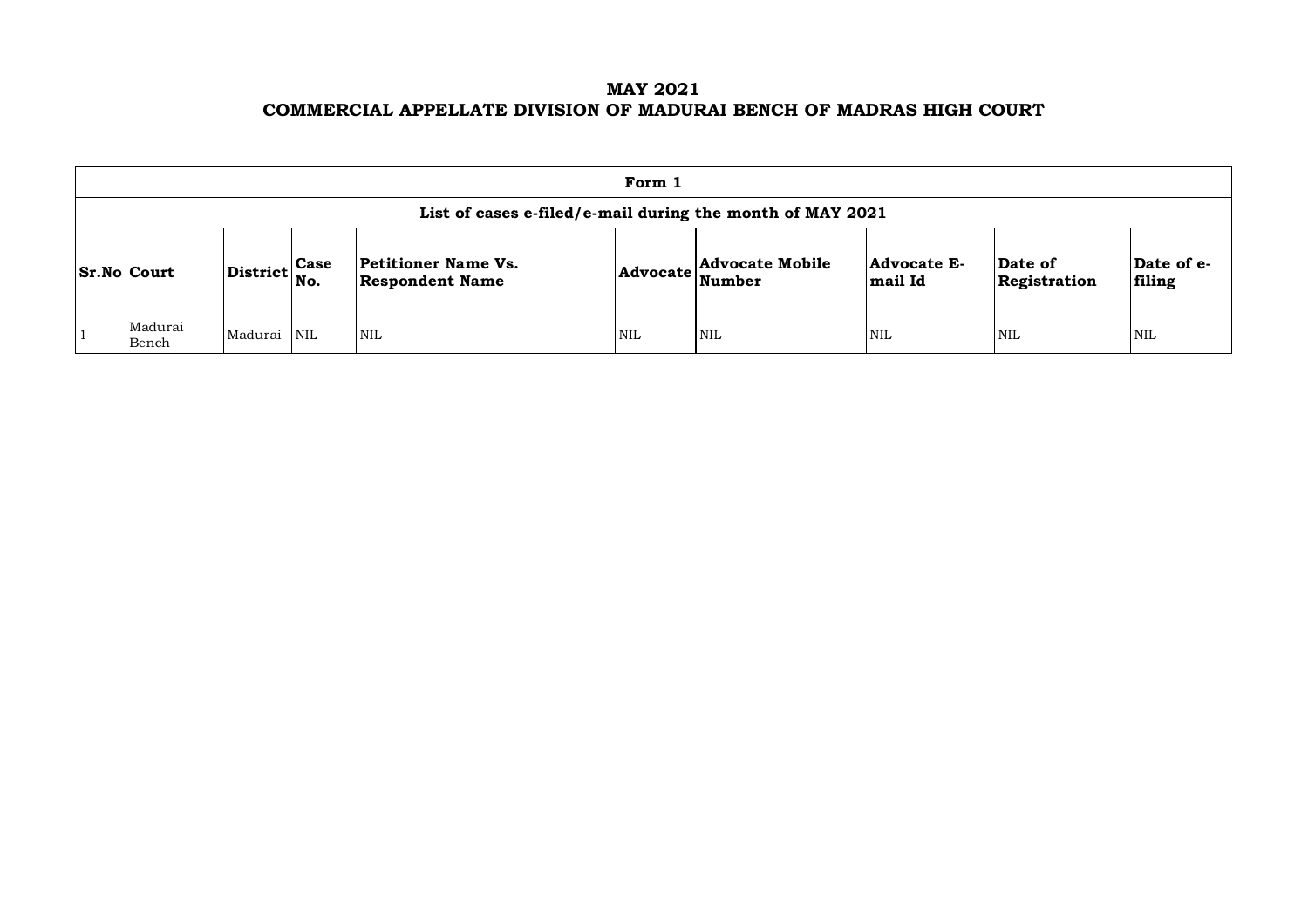## **MAY 2021 COMMERCIAL APPELLATE DIVISION OF MADURAI BENCH OF MADRAS HIGH COURT**

| Form 1                                                    |                                                             |  |                                               |            |                                                     |                               |                         |                      |  |  |  |
|-----------------------------------------------------------|-------------------------------------------------------------|--|-----------------------------------------------|------------|-----------------------------------------------------|-------------------------------|-------------------------|----------------------|--|--|--|
| List of cases e-filed/e-mail during the month of MAY 2021 |                                                             |  |                                               |            |                                                     |                               |                         |                      |  |  |  |
| $ S_rN_0 $ Court                                          | $\left  \text{District} \right _{\text{No.}}^{\text{Case}}$ |  | Petitioner Name Vs.<br><b>Respondent Name</b> |            | $ {\bf Advocate} \overleftarrow{\bf Nowate Mobile}$ | <b>Advocate E-</b><br>mail Id | Date of<br>Registration | Date of e-<br>filing |  |  |  |
| Madurai<br>Bench                                          | Madurai NIL                                                 |  | <b>NIL</b>                                    | <b>NIL</b> | <b>NIL</b>                                          | <b>NIL</b>                    | <b>NIL</b>              | <b>NIL</b>           |  |  |  |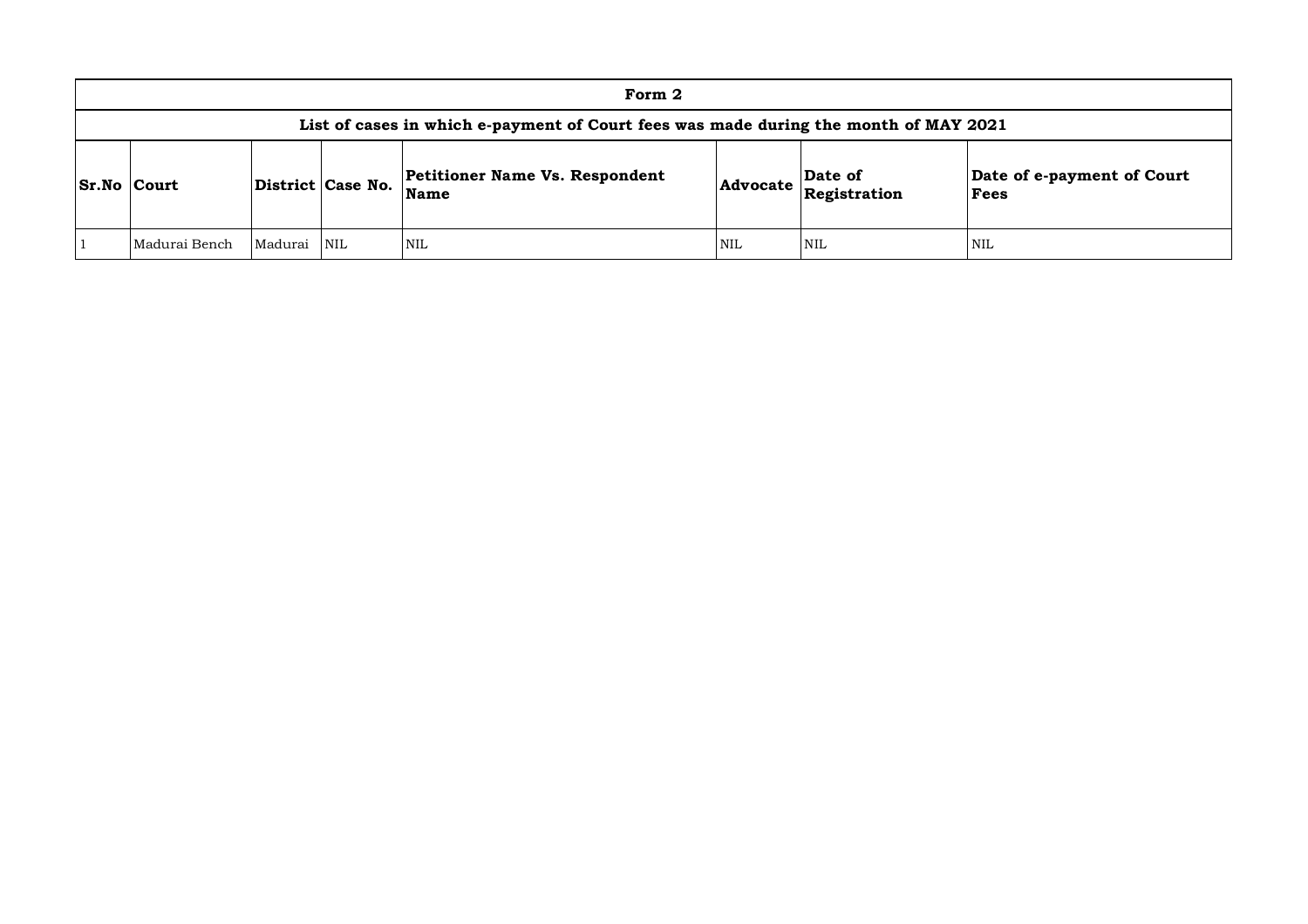|                    | Form 2                                                                               |             |                   |                                                      |                                          |     |                                    |  |  |  |  |
|--------------------|--------------------------------------------------------------------------------------|-------------|-------------------|------------------------------------------------------|------------------------------------------|-----|------------------------------------|--|--|--|--|
|                    | List of cases in which e-payment of Court fees was made during the month of MAY 2021 |             |                   |                                                      |                                          |     |                                    |  |  |  |  |
| <b>Sr.No Court</b> |                                                                                      |             | District Case No. | <b>Petitioner Name Vs. Respondent</b><br><b>Name</b> | Date of<br>$ $ Advocate $ $ Registration |     | Date of e-payment of Court<br>Fees |  |  |  |  |
|                    | Madurai Bench                                                                        | Madurai NIL |                   | <b>NIL</b>                                           | NIL                                      | NIL | <b>NIL</b>                         |  |  |  |  |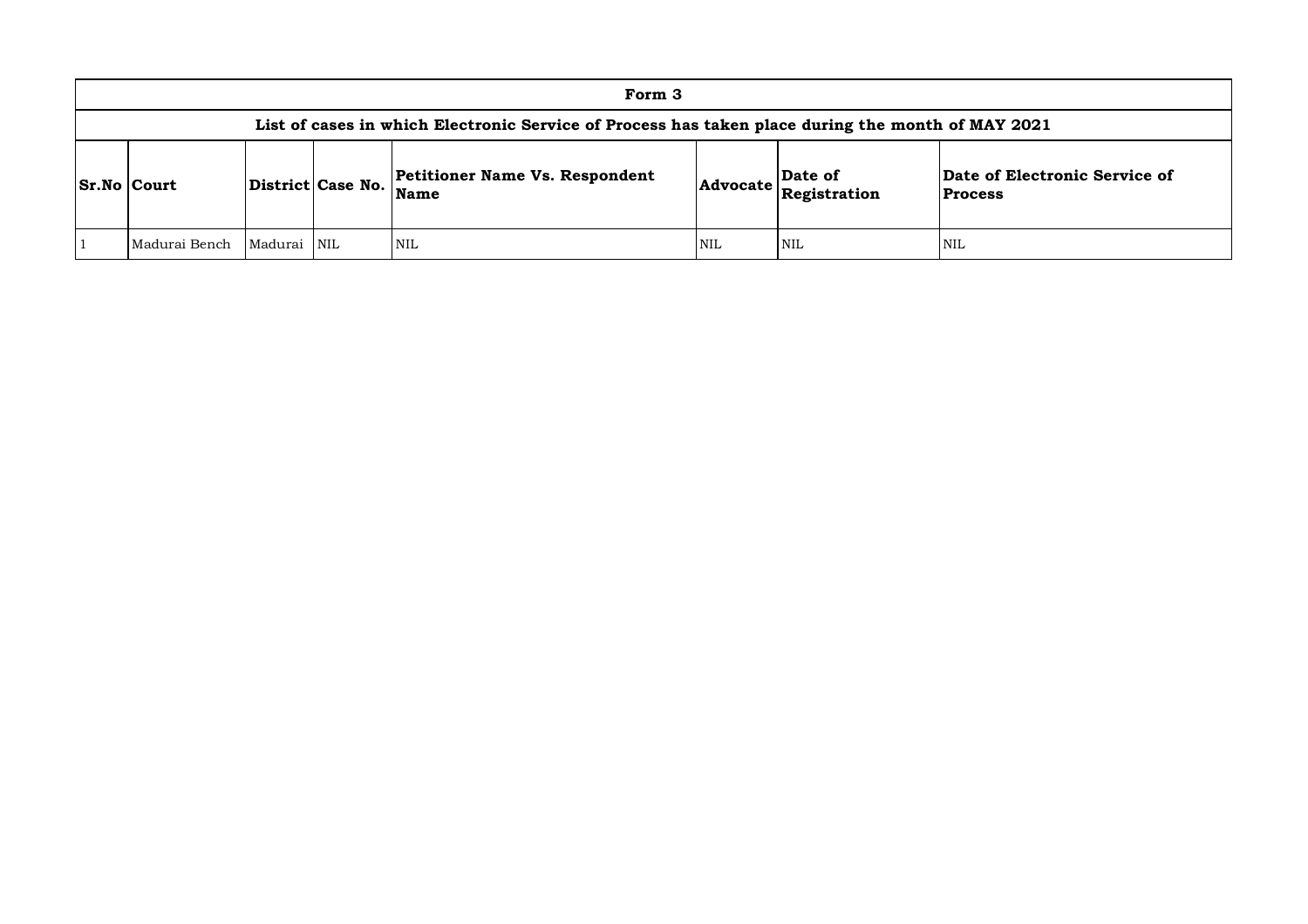| Form 3                                                                                            |             |                   |                                                      |                                                                               |            |                                                 |  |  |  |  |
|---------------------------------------------------------------------------------------------------|-------------|-------------------|------------------------------------------------------|-------------------------------------------------------------------------------|------------|-------------------------------------------------|--|--|--|--|
| List of cases in which Electronic Service of Process has taken place during the month of MAY 2021 |             |                   |                                                      |                                                                               |            |                                                 |  |  |  |  |
| $S_r$ . No $Court$                                                                                |             | District Case No. | <b>Petitioner Name Vs. Respondent</b><br><b>Name</b> | Date of<br>$ {\bf Advocate}\left \overline{\bf \textbf{Registration}}\right $ |            | Date of Electronic Service of<br><b>Process</b> |  |  |  |  |
| Madurai Bench                                                                                     | Madurai NIL |                   | NIL                                                  | <b>NIL</b>                                                                    | <b>NIL</b> | <b>NIL</b>                                      |  |  |  |  |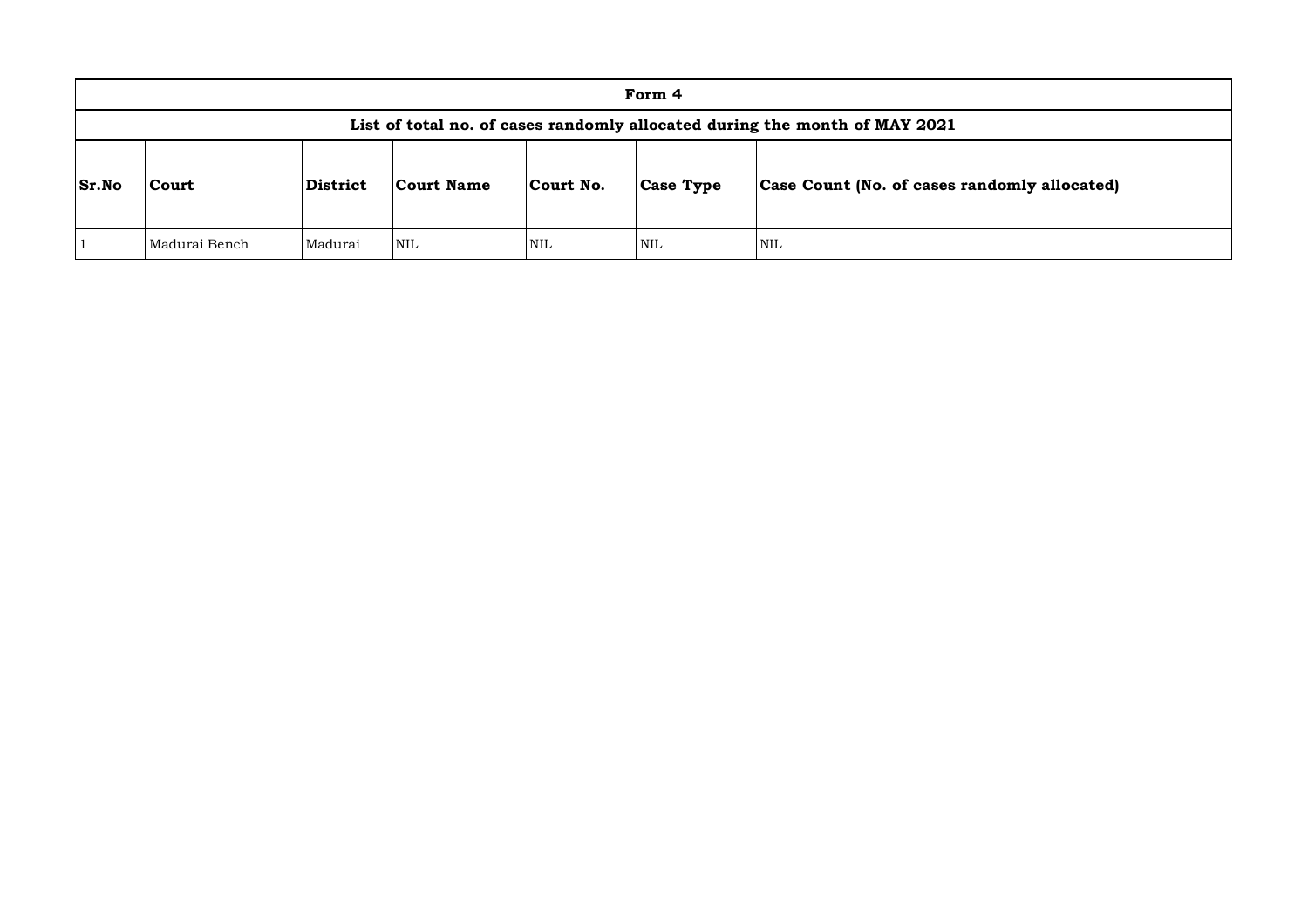|              | Form 4                                                                     |          |            |            |                  |                                              |  |  |  |  |
|--------------|----------------------------------------------------------------------------|----------|------------|------------|------------------|----------------------------------------------|--|--|--|--|
|              | List of total no. of cases randomly allocated during the month of MAY 2021 |          |            |            |                  |                                              |  |  |  |  |
| <b>Sr.No</b> | Court                                                                      | District | Court Name | Court No.  | <b>Case Type</b> | Case Count (No. of cases randomly allocated) |  |  |  |  |
|              | Madurai Bench                                                              | Madurai  | NIL        | <b>NIL</b> | <b>NIL</b>       | <b>NIL</b>                                   |  |  |  |  |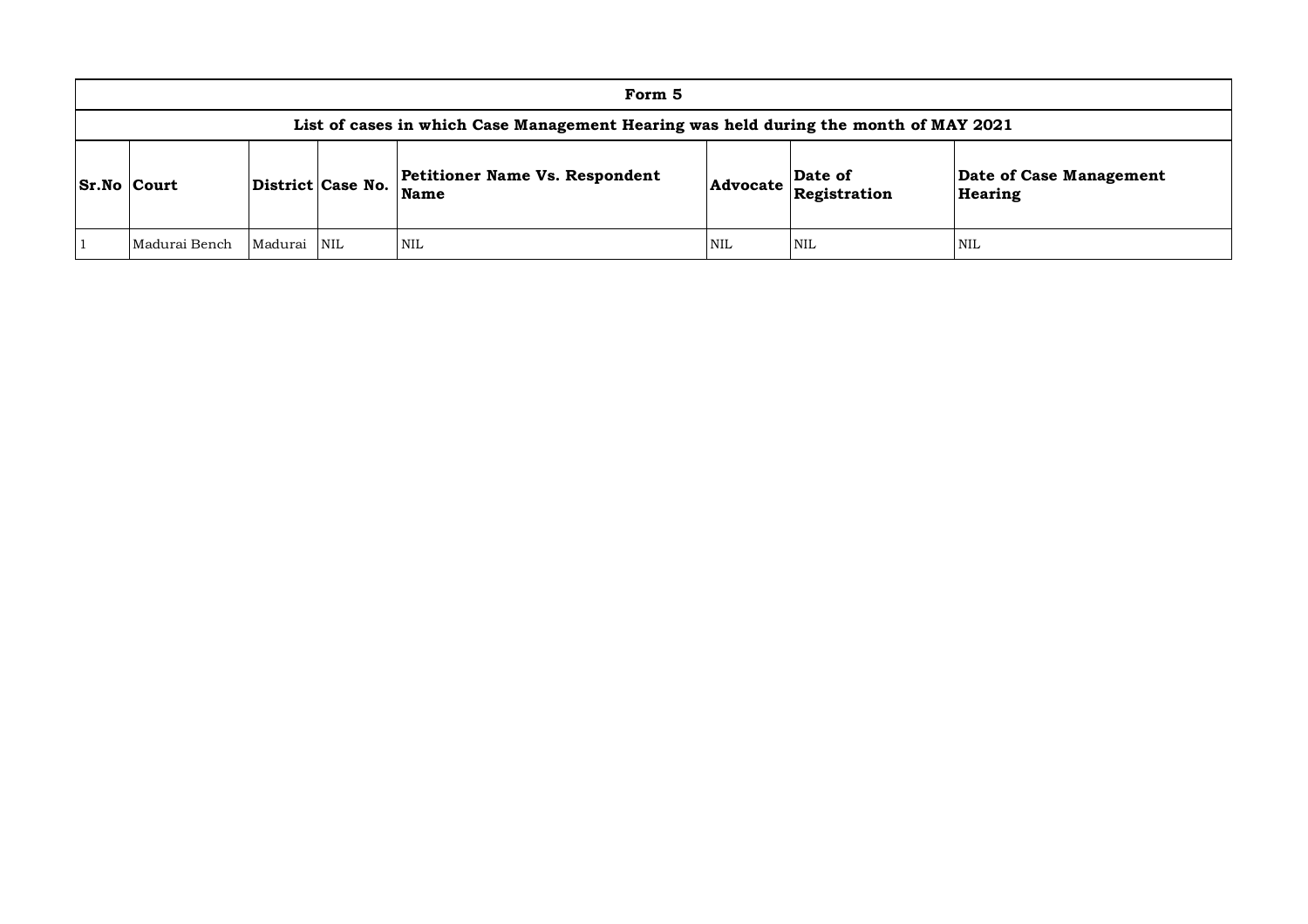| Form 5                                                                               |             |  |                                               |            |                                              |                                    |  |  |  |  |
|--------------------------------------------------------------------------------------|-------------|--|-----------------------------------------------|------------|----------------------------------------------|------------------------------------|--|--|--|--|
| List of cases in which Case Management Hearing was held during the month of MAY 2021 |             |  |                                               |            |                                              |                                    |  |  |  |  |
| <b>Sr.No Court</b><br>District Case No.                                              |             |  | Petitioner Name Vs. Respondent<br><b>Name</b> |            | Date of<br>$ {\bf Advocate}\> $ Registration | Date of Case Management<br>Hearing |  |  |  |  |
| Madurai Bench                                                                        | Madurai NIL |  | <b>NIL</b>                                    | <b>NIL</b> | <b>NIL</b>                                   | NIL                                |  |  |  |  |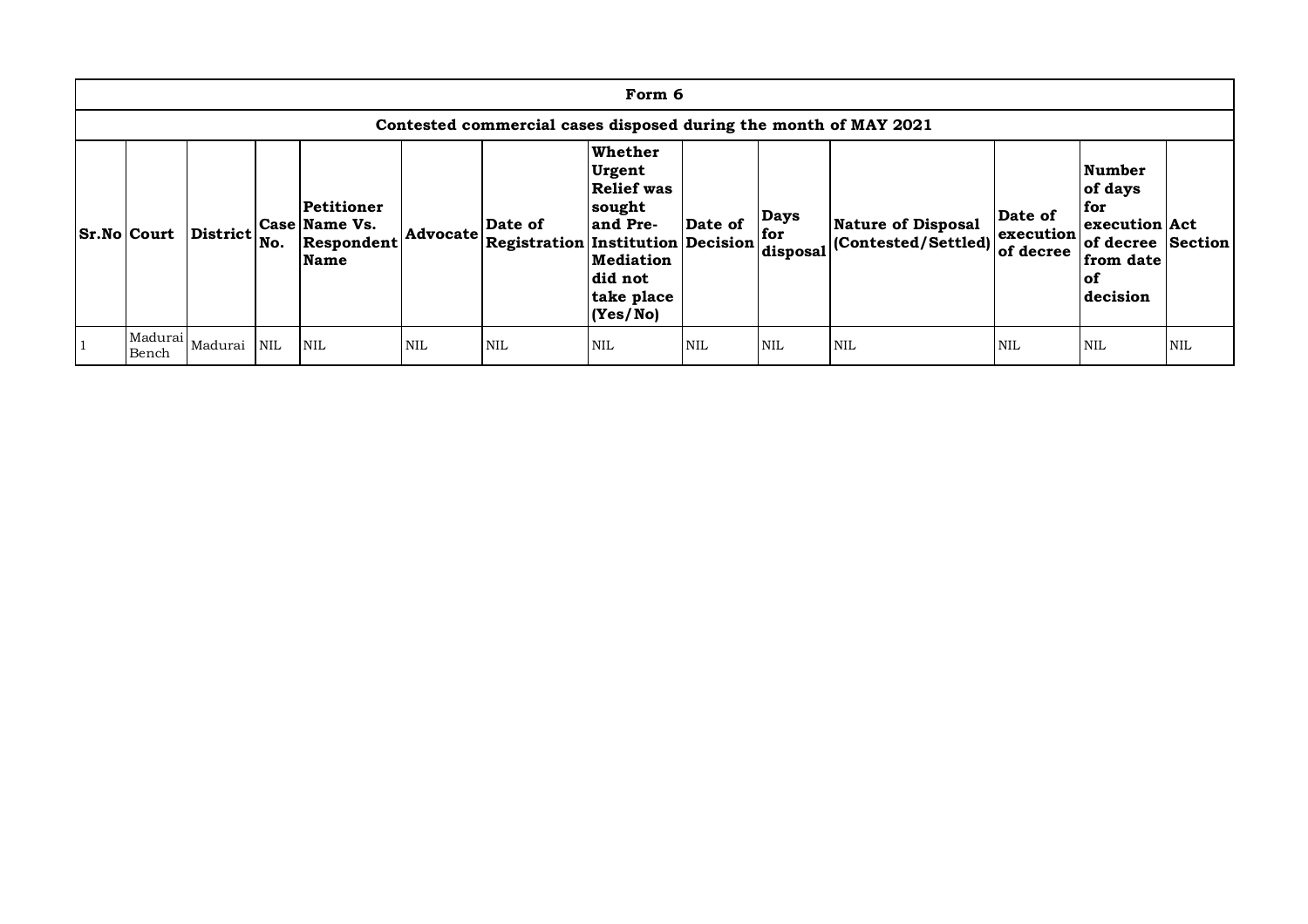| Form 6                                                           |          |            |                                                          |                 |                                                     |                                                                                                          |            |                                |                                                  |                                   |                                                                                                 |            |
|------------------------------------------------------------------|----------|------------|----------------------------------------------------------|-----------------|-----------------------------------------------------|----------------------------------------------------------------------------------------------------------|------------|--------------------------------|--------------------------------------------------|-----------------------------------|-------------------------------------------------------------------------------------------------|------------|
| Contested commercial cases disposed during the month of MAY 2021 |          |            |                                                          |                 |                                                     |                                                                                                          |            |                                |                                                  |                                   |                                                                                                 |            |
| <b>Sr.No Court</b>                                               | District | No.        | Petitioner<br>Case Name Vs.<br>Respondent<br><b>Name</b> | <b>Advocate</b> | Date of<br><b>Registration Institution Decision</b> | Whether<br>Urgent<br>Relief was<br>sought<br>and Pre-<br>Mediation<br> did not<br>take place<br>(Yes/No) | Date of    | <b>Days</b><br>for<br>disposal | <b>Nature of Disposal</b><br>(Contested/Settled) | Date of<br>execution<br>of decree | Number<br>of days<br>for<br>execution Act<br>of decree Section<br>from date<br>l of<br>decision |            |
| Madurai<br>Bench                                                 | Madurai  | <b>NIL</b> | <b>NIL</b>                                               | NIL             | <b>NIL</b>                                          | NIL                                                                                                      | <b>NIL</b> | <b>NIL</b>                     | <b>NIL</b>                                       | <b>NIL</b>                        | NIL                                                                                             | <b>NIL</b> |